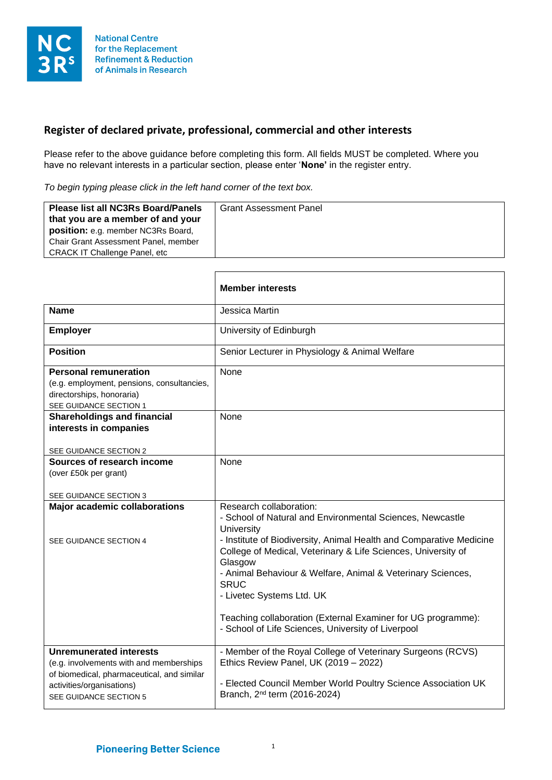

## **Register of declared private, professional, commercial and other interests**

Please refer to the above guidance before completing this form. All fields MUST be completed. Where you have no relevant interests in a particular section, please enter '**None'** in the register entry.

*To begin typing please click in the left hand corner of the text box.*

| <b>CRACK IT Challenge Panel, etc.</b> | <b>Please list all NC3Rs Board/Panels</b><br>that you are a member of and your<br><b>position:</b> e.g. member NC3Rs Board,<br>Chair Grant Assessment Panel, member | <b>Grant Assessment Panel</b> |
|---------------------------------------|---------------------------------------------------------------------------------------------------------------------------------------------------------------------|-------------------------------|
|---------------------------------------|---------------------------------------------------------------------------------------------------------------------------------------------------------------------|-------------------------------|

|                                                                                                                                                                                | <b>Member interests</b>                                                                                                                                                                                                                                                                                                                                                                                                                                                                |
|--------------------------------------------------------------------------------------------------------------------------------------------------------------------------------|----------------------------------------------------------------------------------------------------------------------------------------------------------------------------------------------------------------------------------------------------------------------------------------------------------------------------------------------------------------------------------------------------------------------------------------------------------------------------------------|
| <b>Name</b>                                                                                                                                                                    | Jessica Martin                                                                                                                                                                                                                                                                                                                                                                                                                                                                         |
| <b>Employer</b>                                                                                                                                                                | University of Edinburgh                                                                                                                                                                                                                                                                                                                                                                                                                                                                |
| Position                                                                                                                                                                       | Senior Lecturer in Physiology & Animal Welfare                                                                                                                                                                                                                                                                                                                                                                                                                                         |
| <b>Personal remuneration</b><br>(e.g. employment, pensions, consultancies,<br>directorships, honoraria)<br>SEE GUIDANCE SECTION 1                                              | None                                                                                                                                                                                                                                                                                                                                                                                                                                                                                   |
| <b>Shareholdings and financial</b><br>interests in companies<br>SEE GUIDANCE SECTION 2                                                                                         | <b>None</b>                                                                                                                                                                                                                                                                                                                                                                                                                                                                            |
| Sources of research income<br>(over £50k per grant)<br>SEE GUIDANCE SECTION 3                                                                                                  | None                                                                                                                                                                                                                                                                                                                                                                                                                                                                                   |
| <b>Major academic collaborations</b><br>SEE GUIDANCE SECTION 4                                                                                                                 | Research collaboration:<br>- School of Natural and Environmental Sciences, Newcastle<br>University<br>- Institute of Biodiversity, Animal Health and Comparative Medicine<br>College of Medical, Veterinary & Life Sciences, University of<br>Glasgow<br>- Animal Behaviour & Welfare, Animal & Veterinary Sciences,<br><b>SRUC</b><br>- Livetec Systems Ltd. UK<br>Teaching collaboration (External Examiner for UG programme):<br>- School of Life Sciences, University of Liverpool |
| <b>Unremunerated interests</b><br>(e.g. involvements with and memberships<br>of biomedical, pharmaceutical, and similar<br>activities/organisations)<br>SEE GUIDANCE SECTION 5 | - Member of the Royal College of Veterinary Surgeons (RCVS)<br>Ethics Review Panel, UK (2019 - 2022)<br>- Elected Council Member World Poultry Science Association UK<br>Branch, 2 <sup>nd</sup> term (2016-2024)                                                                                                                                                                                                                                                                      |